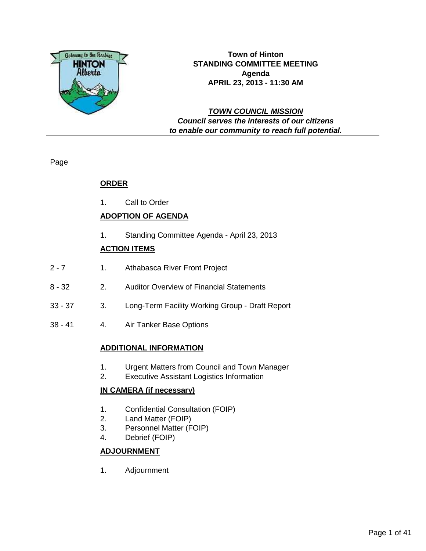

**Town of Hinton STANDING COMMITTEE MEETING Agenda APRIL 23, 2013 - 11:30 AM**

# **TOWN COUNCIL MISSION Council serves the interests of our citizens to enable our community to reach full potential.**

Page

# **ORDER**

1. Call to Order

# **ADOPTION OF AGENDA**

1. Standing Committee Agenda - April 23, 2013

# **ACTION ITEMS**

- 2 7 1. Athabasca River Front Project
- 8 32 2. Auditor Overview of Financial Statements
- 33 37 3. Long-Term Facility Working Group Draft Report
- 38 41 4. Air Tanker Base Options

# **ADDITIONAL INFORMATION**

- 1. Urgent Matters from Council and Town Manager
- 2. Executive Assistant Logistics Information

# **IN CAMERA (if necessary)**

- 1. Confidential Consultation (FOIP)
- 2. Land Matter (FOIP)
- 3. Personnel Matter (FOIP)
- 4. Debrief (FOIP)

# **ADJOURNMENT**

1. Adjournment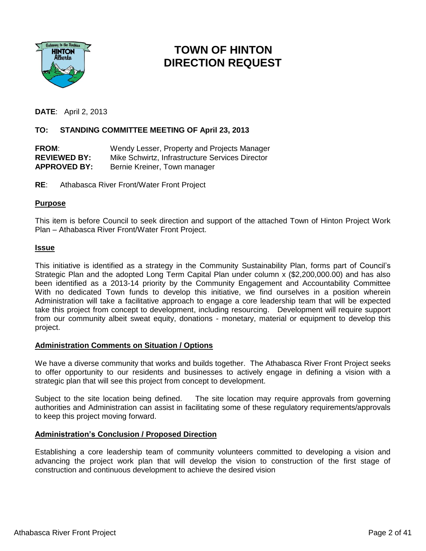

# **TOWN OF HINTON DIRECTION REQUEST**

**DATE**: April 2, 2013

### **TO: STANDING COMMITTEE MEETING OF April 23, 2013**

**FROM**: Wendy Lesser, Property and Projects Manager **REVIEWED BY:** Mike Schwirtz, Infrastructure Services Director APPROVED BY: Bernie Kreiner, Town manager

**RE**: Athabasca River Front/Water Front Project

### **Purpose**

This item is before Council to seek direction and support of the attached Town of Hinton Project Work Plan – Athabasca River Front/Water Front Project.

### **Issue**

This initiative is identified as a strategy in the Community Sustainability Plan, forms part of Council's Strategic Plan and the adopted Long Term Capital Plan under column x (\$2,200,000.00) and has also been identified as a 2013-14 priority by the Community Engagement and Accountability Committee With no dedicated Town funds to develop this initiative, we find ourselves in a position wherein Administration will take a facilitative approach to engage a core leadership team that will be expected take this project from concept to development, including resourcing. Development will require support from our community albeit sweat equity, donations - monetary, material or equipment to develop this project.

#### **Administration Comments on Situation / Options**

We have a diverse community that works and builds together. The Athabasca River Front Project seeks to offer opportunity to our residents and businesses to actively engage in defining a vision with a strategic plan that will see this project from concept to development.

Subject to the site location being defined. The site location may require approvals from governing authorities and Administration can assist in facilitating some of these regulatory requirements/approvals to keep this project moving forward.

### **Administration's Conclusion / Proposed Direction**

Establishing a core leadership team of community volunteers committed to developing a vision and advancing the project work plan that will develop the vision to construction of the first stage of construction and continuous development to achieve the desired vision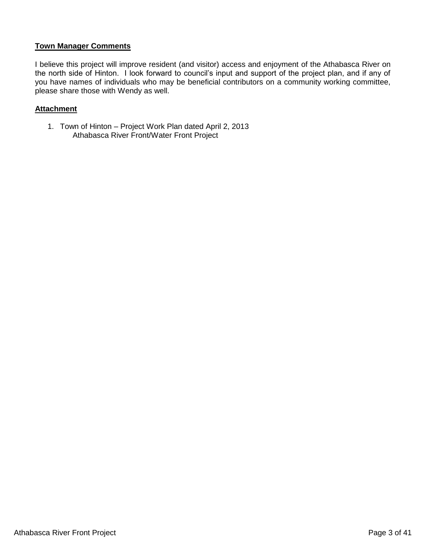### **Town Manager Comments**

I believe this project will improve resident (and visitor) access and enjoyment of the Athabasca River on the north side of Hinton. I look forward to council's input and support of the project plan, and if any of you have names of individuals who may be beneficial contributors on a community working committee, please share those with Wendy as well.

### **Attachment**

1. Town of Hinton – Project Work Plan dated April 2, 2013 Athabasca River Front/Water Front Project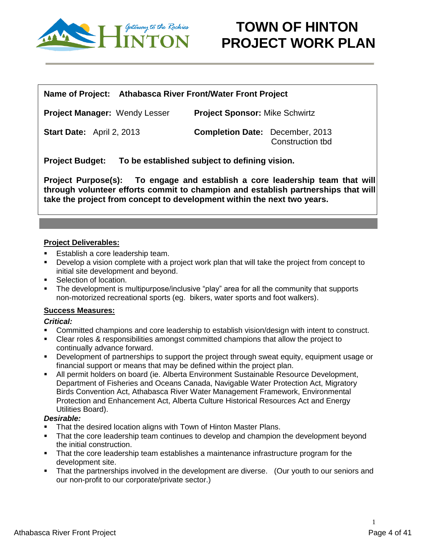

### **Name of Project: Athabasca River Front/Water Front Project**

**Project Manager:** Wendy Lesser **Project Sponsor:** Mike Schwirtz

**Start Date:** April 2, 2013 **Completion Date:** December, 2013 Construction tbd

**Project Budget: To be established subject to defining vision.**

**Project Purpose(s): To engage and establish a core leadership team that will through volunteer efforts commit to champion and establish partnerships that will take the project from concept to development within the next two years.** 

# **Project Deliverables:**

- Establish a core leadership team.
- **•** Develop a vision complete with a project work plan that will take the project from concept to initial site development and beyond.
- Selection of location.
- The development is multipurpose/inclusive "play" area for all the community that supports non-motorized recreational sports (eg. bikers, water sports and foot walkers).

# **Success Measures:**

### *Critical:*

- Committed champions and core leadership to establish vision/design with intent to construct.
- Clear roles & responsibilities amongst committed champions that allow the project to continually advance forward.
- **•** Development of partnerships to support the project through sweat equity, equipment usage or financial support or means that may be defined within the project plan.
- All permit holders on board (ie. Alberta Environment Sustainable Resource Development, Department of Fisheries and Oceans Canada, Navigable Water Protection Act, Migratory Birds Convention Act, Athabasca River Water Management Framework, Environmental Protection and Enhancement Act, Alberta Culture Historical Resources Act and Energy Utilities Board).

### *Desirable:*

- **That the desired location aligns with Town of Hinton Master Plans.**
- That the core leadership team continues to develop and champion the development beyond the initial construction.
- That the core leadership team establishes a maintenance infrastructure program for the development site.
- That the partnerships involved in the development are diverse. (Our youth to our seniors and our non-profit to our corporate/private sector.)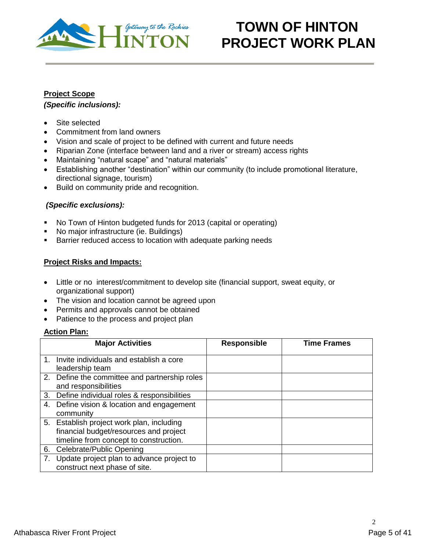

# **Project Scope**

# *(Specific inclusions):*

- Site selected
- Commitment from land owners
- Vision and scale of project to be defined with current and future needs
- Riparian Zone (interface between land and a river or stream) access rights
- Maintaining "natural scape" and "natural materials"
- Establishing another "destination" within our community (to include promotional literature, directional signage, tourism)
- Build on community pride and recognition.

# *(Specific exclusions):*

- No Town of Hinton budgeted funds for 2013 (capital or operating)
- No major infrastructure (ie. Buildings)
- **Barrier reduced access to location with adequate parking needs**

# **Project Risks and Impacts:**

- Little or no interest/commitment to develop site (financial support, sweat equity, or organizational support)
- The vision and location cannot be agreed upon
- Permits and approvals cannot be obtained
- Patience to the process and project plan

### **Action Plan:**

|    | <b>Major Activities</b>                                                                                                       | <b>Responsible</b> | <b>Time Frames</b> |
|----|-------------------------------------------------------------------------------------------------------------------------------|--------------------|--------------------|
|    | 1. Invite individuals and establish a core<br>leadership team                                                                 |                    |                    |
|    | 2. Define the committee and partnership roles<br>and responsibilities                                                         |                    |                    |
|    | 3. Define individual roles & responsibilities                                                                                 |                    |                    |
|    | 4. Define vision & location and engagement<br>community                                                                       |                    |                    |
|    | 5. Establish project work plan, including<br>financial budget/resources and project<br>timeline from concept to construction. |                    |                    |
| 6. | Celebrate/Public Opening                                                                                                      |                    |                    |
| 7. | Update project plan to advance project to<br>construct next phase of site.                                                    |                    |                    |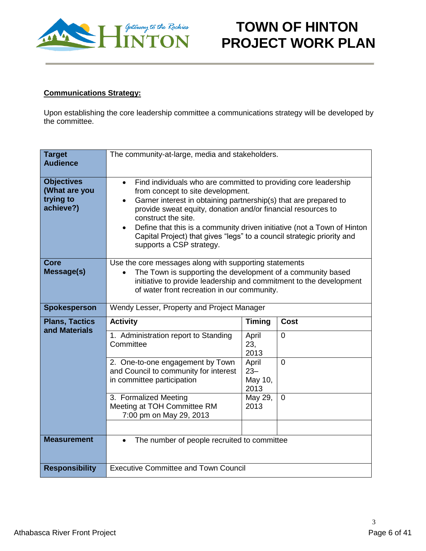

# **Communications Strategy:**

Upon establishing the core leadership committee a communications strategy will be developed by the committee.

| <b>Target</b><br><b>Audience</b>                             | The community-at-large, media and stakeholders.                                                                                                                                                                                                                                                                                                                                                                                                                            |                            |                |  |  |  |  |  |  |
|--------------------------------------------------------------|----------------------------------------------------------------------------------------------------------------------------------------------------------------------------------------------------------------------------------------------------------------------------------------------------------------------------------------------------------------------------------------------------------------------------------------------------------------------------|----------------------------|----------------|--|--|--|--|--|--|
| <b>Objectives</b><br>(What are you<br>trying to<br>achieve?) | Find individuals who are committed to providing core leadership<br>from concept to site development.<br>Garner interest in obtaining partnership(s) that are prepared to<br>$\bullet$<br>provide sweat equity, donation and/or financial resources to<br>construct the site.<br>Define that this is a community driven initiative (not a Town of Hinton<br>$\bullet$<br>Capital Project) that gives "legs" to a council strategic priority and<br>supports a CSP strategy. |                            |                |  |  |  |  |  |  |
| <b>Core</b><br><b>Message(s)</b>                             | Use the core messages along with supporting statements<br>The Town is supporting the development of a community based<br>initiative to provide leadership and commitment to the development<br>of water front recreation in our community.                                                                                                                                                                                                                                 |                            |                |  |  |  |  |  |  |
| Spokesperson                                                 | Wendy Lesser, Property and Project Manager                                                                                                                                                                                                                                                                                                                                                                                                                                 |                            |                |  |  |  |  |  |  |
| <b>Plans, Tactics</b><br>and Materials                       | <b>Activity</b>                                                                                                                                                                                                                                                                                                                                                                                                                                                            | <b>Timing</b>              | <b>Cost</b>    |  |  |  |  |  |  |
|                                                              | 1. Administration report to Standing<br>Committee                                                                                                                                                                                                                                                                                                                                                                                                                          | April<br>23,<br>2013       | $\overline{0}$ |  |  |  |  |  |  |
|                                                              | 2. One-to-one engagement by Town<br>and Council to community for interest<br>in committee participation                                                                                                                                                                                                                                                                                                                                                                    | April<br>$23 -$<br>May 10, | $\overline{0}$ |  |  |  |  |  |  |
|                                                              |                                                                                                                                                                                                                                                                                                                                                                                                                                                                            | 2013                       |                |  |  |  |  |  |  |
|                                                              | 3. Formalized Meeting<br>Meeting at TOH Committee RM<br>7:00 pm on May 29, 2013                                                                                                                                                                                                                                                                                                                                                                                            | May 29,<br>2013            | $\mathbf 0$    |  |  |  |  |  |  |
|                                                              |                                                                                                                                                                                                                                                                                                                                                                                                                                                                            |                            |                |  |  |  |  |  |  |
| <b>Measurement</b>                                           | The number of people recruited to committee<br>$\bullet$<br><b>Executive Committee and Town Council</b>                                                                                                                                                                                                                                                                                                                                                                    |                            |                |  |  |  |  |  |  |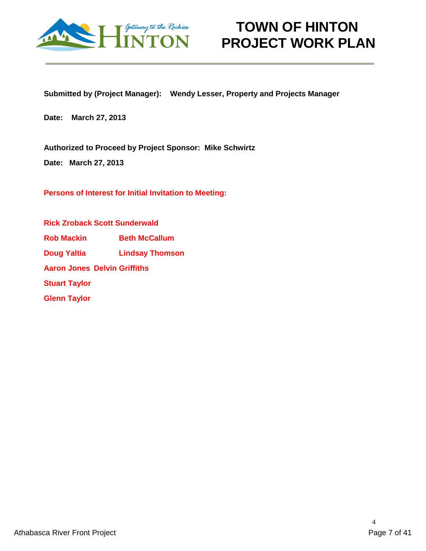

**Submitted by (Project Manager): Wendy Lesser, Property and Projects Manager**

**Date: March 27, 2013**

**Authorized to Proceed by Project Sponsor: Mike Schwirtz**

**Date: March 27, 2013**

**Persons of Interest for Initial Invitation to Meeting:**

**Rick Zroback Scott Sunderwald Rob Mackin Beth McCallum Doug Yaltia Lindsay Thomson Aaron Jones Delvin Griffiths Stuart Taylor Glenn Taylor**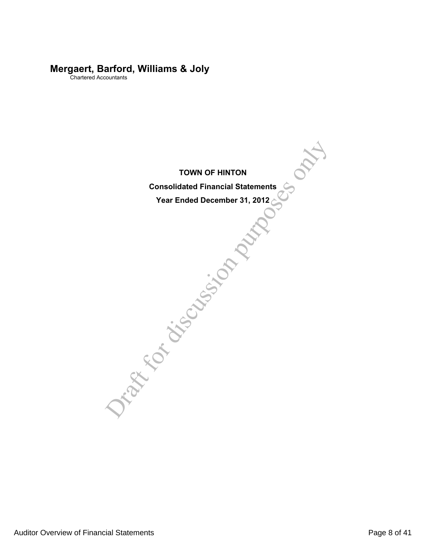# **Mergaert, Barford, Williams & Joly**

Chartered Accountants

**TOWN OF HINTON**

TOWN OF HINTON<br>Consolidated Financial Statements<br>Year Ended December 31, 2012 **Consolidated Financial Statements**

**Year Ended December 31, 2012**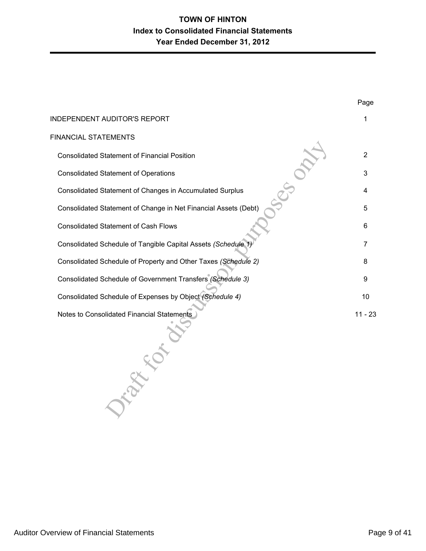| <b>INDEPENDENT AUDITOR'S REPORT</b>                             |                |
|-----------------------------------------------------------------|----------------|
| FINANCIAL STATEMENTS                                            |                |
| <b>Consolidated Statement of Financial Position</b>             | $\overline{2}$ |
| <b>Consolidated Statement of Operations</b>                     | 3              |
| Consolidated Statement of Changes in Accumulated Surplus        | 4              |
| Consolidated Statement of Change in Net Financial Assets (Debt) | 5              |
| <b>Consolidated Statement of Cash Flows</b>                     | 6              |
| Consolidated Schedule of Tangible Capital Assets (Schedule 1)   | 7              |
| Consolidated Schedule of Property and Other Taxes (Schedule 2)  | 8              |
| Consolidated Schedule of Government Transfers (Schedule 3)      | 9              |
| Consolidated Schedule of Expenses by Object (Schedule 4)        | 10             |
| Notes to Consolidated Financial Statements                      | $11 - 23$      |

Page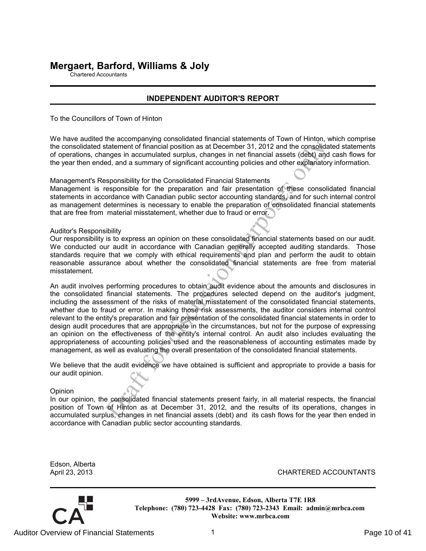# **Mergaert, Barford, Williams & Joly**

Chartered Accountants

### **INDEPENDENT AUDITOR'S REPORT**

To the Councillors of Town of Hinton

We have audited the accompanying consolidated financial statements of Town of Hinton, which comprise the consolidated statement of financial position as at December 31, 2012 and the consolidated statements of operations, changes in accumulated surplus, changes in net financial assets (debt) and cash flows for the year then ended, and a summary of significant accounting policies and other explanatory information.

Management's Responsibility for the Consolidated Financial Statements

Management is responsible for the preparation and fair presentation of these consolidated financial statements in accordance with Canadian public sector accounting standards, and for such internal control as management determines is necessary to enable the preparation of consolidated financial statements that are free from material misstatement, whether due to fraud or error.

Auditor's Responsibility

Our responsibility is to express an opinion on these consolidated financial statements based on our audit. We conducted our audit in accordance with Canadian generally accepted auditing standards. Those standards require that we comply with ethical requirements and plan and perform the audit to obtain reasonable assurance about whether the consolidated financial statements are free from material misstatement.

tatement of financial position as at December 31, 2012 and the consolidat<br>atatement of financial position as at December 31, 2012 and the consolidat<br>angles in accumulated surplus, changes in net financial assets (debb) and An audit involves performing procedures to obtain audit evidence about the amounts and disclosures in the consolidated financial statements. The procedures selected depend on the auditor's judgment, including the assessment of the risks of material misstatement of the consolidated financial statements, whether due to fraud or error. In making those risk assessments, the auditor considers internal control relevant to the entity's preparation and fair presentation of the consolidated financial statements in order to design audit procedures that are appropriate in the circumstances, but not for the purpose of expressing an opinion on the effectiveness of the entity's internal control. An audit also includes evaluating the appropriateness of accounting policies used and the reasonableness of accounting estimates made by management, as well as evaluating the overall presentation of the consolidated financial statements.

We believe that the audit evidence we have obtained is sufficient and appropriate to provide a basis for our audit opinion.

Opinion

In our opinion, the consolidated financial statements present fairly, in all material respects, the financial position of Town of Hinton as at December 31, 2012, and the results of its operations, changes in accumulated surplus, changes in net financial assets (debt) and its cash flows for the year then ended in accordance with Canadian public sector accounting standards.

Edson, Alberta

April 23, 2013 CHARTERED ACCOUNTANTS

**5999 – 3rdAvenue, Edson, Alberta T7E 1R8 Telephone: (780) 723-4428 Fax: (780) 723-2343 Email: admin@mrbca.com Website: www.mrbca.com**

Auditor Overview of Financial Statements 1 and 1 and 1 and 1 and 2 page 10 of 41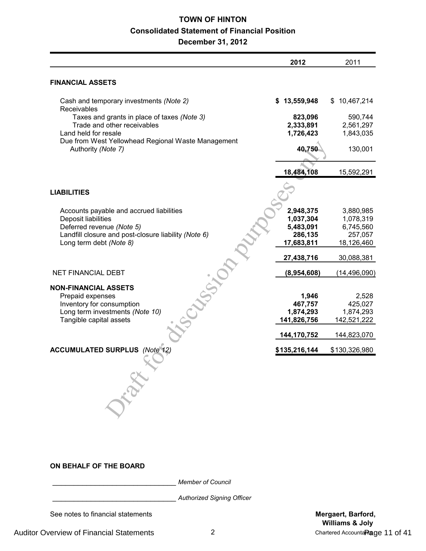# **TOWN OF HINTON Consolidated Statement of Financial Position**

**December 31, 2012**

|                                                                                                                                                                                 | 2012                                                         | 2011                                                         |
|---------------------------------------------------------------------------------------------------------------------------------------------------------------------------------|--------------------------------------------------------------|--------------------------------------------------------------|
| <b>FINANCIAL ASSETS</b>                                                                                                                                                         |                                                              |                                                              |
| Cash and temporary investments (Note 2)<br>Receivables                                                                                                                          | \$13,559,948                                                 | \$10,467,214                                                 |
| Taxes and grants in place of taxes (Note 3)<br>Trade and other receivables                                                                                                      | 823,096<br>2,333,891                                         | 590,744<br>2,561,297                                         |
| Land held for resale<br>Due from West Yellowhead Regional Waste Management<br>Authority (Note 7)                                                                                | 1,726,423<br>40,750                                          | 1,843,035<br>130,001                                         |
|                                                                                                                                                                                 | 18,484,108                                                   | 15,592,291                                                   |
| <b>LIABILITIES</b>                                                                                                                                                              |                                                              |                                                              |
| Accounts payable and accrued liabilities<br>Deposit liabilities<br>Deferred revenue (Note 5)<br>Landfill closure and post-closure liability (Note 6)<br>Long term debt (Note 8) | 2,948,375<br>1,037,304<br>5,483,091<br>286,135<br>17,683,811 | 3,880,985<br>1,078,319<br>6,745,560<br>257,057<br>18,126,460 |
|                                                                                                                                                                                 | 27,438,716                                                   | 30,088,381                                                   |
| NET FINANCIAL DEBT                                                                                                                                                              | (8,954,608)                                                  | (14, 496, 090)                                               |
| Classical<br><b>NON-FINANCIAL ASSETS</b><br>Prepaid expenses<br>Inventory for consumption<br>Long term investments (Note 10)<br>Tangible capital assets                         | 1,946<br>467,757<br>1,874,293<br>141,826,756                 | 2,528<br>425,027<br>1,874,293<br>142,521,222                 |
|                                                                                                                                                                                 | 144,170,752                                                  | 144,823,070                                                  |
| ACCUMULATED SURPLUS (Note 12)                                                                                                                                                   | \$135,216,144                                                | \$130,326,980                                                |
|                                                                                                                                                                                 |                                                              |                                                              |

#### **ON BEHALF OF THE BOARD**

\_\_\_\_\_\_\_\_\_\_\_\_\_\_\_\_\_\_\_\_\_\_\_\_\_\_\_\_\_ *Member of Council*

\_\_\_\_\_\_\_\_\_\_\_\_\_\_\_\_\_\_\_\_\_\_\_\_\_\_\_\_\_ *Authorized Signing Officer*

See notes to financial statements **Mergaert, Barford, Mergaert, Barford,** 

**Williams & Joly**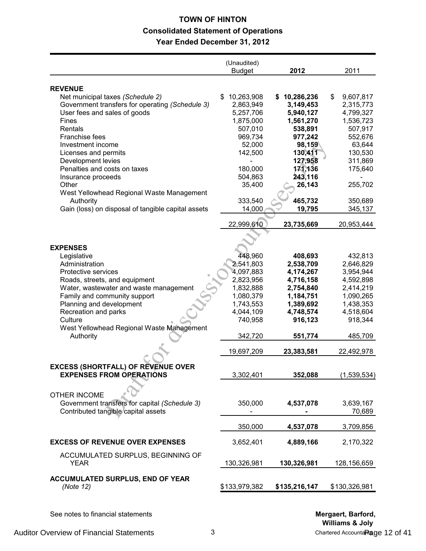# **TOWN OF HINTON Consolidated Statement of Operations Year Ended December 31, 2012**

|                                                                                     | (Unaudited)<br><b>Budget</b> | 2012                          | 2011                   |
|-------------------------------------------------------------------------------------|------------------------------|-------------------------------|------------------------|
|                                                                                     |                              |                               |                        |
| <b>REVENUE</b>                                                                      | 10,263,908<br>\$             |                               | \$                     |
| Net municipal taxes (Schedule 2)<br>Government transfers for operating (Schedule 3) |                              | 10,286,236<br>S.<br>3,149,453 | 9,607,817<br>2,315,773 |
|                                                                                     | 2,863,949                    |                               |                        |
| User fees and sales of goods                                                        | 5,257,706                    | 5,940,127                     | 4,799,327              |
| Fines                                                                               | 1,875,000                    | 1,561,270                     | 1,536,723              |
| Rentals                                                                             | 507,010                      | 538,891                       | 507,917                |
| <b>Franchise fees</b>                                                               | 969,734                      | 977,242                       | 552,676                |
| Investment income                                                                   | 52,000                       | 98,159                        | 63,644                 |
| Licenses and permits                                                                | 142,500                      | 130,411                       | 130,530                |
| Development levies                                                                  |                              | 127,958                       | 311,869                |
| Penalties and costs on taxes                                                        | 180,000                      | 171,136                       | 175,640                |
| Insurance proceeds                                                                  | 504,863                      | 243,116                       |                        |
| Other                                                                               | 35,400                       | 26,143                        | 255,702                |
| West Yellowhead Regional Waste Management                                           |                              |                               |                        |
| Authority                                                                           | 333,540                      | 465,732                       | 350,689                |
| Gain (loss) on disposal of tangible capital assets                                  | 14,000                       | 19,795                        | 345,137                |
|                                                                                     | 22,999,610                   | 23,735,669                    | 20,953,444             |
|                                                                                     |                              |                               |                        |
|                                                                                     |                              |                               |                        |
| <b>EXPENSES</b>                                                                     |                              |                               |                        |
| Legislative                                                                         | 448,960                      | 408,693                       | 432,813                |
| Administration                                                                      | 2,541,803                    | 2,538,709                     | 2,646,829              |
| Protective services                                                                 | 4,097,883                    | 4,174,267                     | 3,954,944              |
| Roads, streets, and equipment                                                       | 2,823,956                    | 4,716,158                     | 4,592,898              |
| Water, wastewater and waste management                                              | 1,832,888                    | 2,754,840                     | 2,414,219              |
| Family and community support                                                        | 1,080,379                    | 1,184,751                     | 1,090,265              |
| Planning and development                                                            | 1,743,553                    | 1,389,692                     | 1,438,353              |
| Recreation and parks                                                                | 4,044,109                    | 4,748,574                     | 4,518,604              |
| Culture                                                                             | 740,958                      | 916,123                       | 918,344                |
| West Yellowhead Regional Waste Management                                           |                              |                               |                        |
| Authority                                                                           | 342,720                      | 551,774                       | 485,709                |
|                                                                                     |                              |                               |                        |
|                                                                                     | 19,697,209                   | 23,383,581                    | 22,492,978             |
|                                                                                     |                              |                               |                        |
| EXCESS (SHORTFALL) OF REVENUE OVER                                                  |                              |                               |                        |
| <b>EXPENSES FROM OPERATIONS</b>                                                     | 3,302,401                    | 352,088                       | (1,539,534)            |
|                                                                                     |                              |                               |                        |
| <b>OTHER INCOME</b>                                                                 |                              |                               |                        |
| Government transfers for capital (Schedule 3)                                       | 350,000                      | 4,537,078                     | 3,639,167              |
| Contributed tangible capital assets                                                 |                              |                               | 70,689                 |
|                                                                                     |                              |                               |                        |
|                                                                                     | 350,000                      | 4,537,078                     | 3,709,856              |
| <b>EXCESS OF REVENUE OVER EXPENSES</b>                                              | 3,652,401                    | 4,889,166                     | 2,170,322              |
|                                                                                     |                              |                               |                        |
| ACCUMULATED SURPLUS, BEGINNING OF                                                   |                              |                               |                        |
| <b>YEAR</b>                                                                         | 130,326,981                  | 130,326,981                   | 128,156,659            |
| <b>ACCUMULATED SURPLUS, END OF YEAR</b>                                             |                              |                               |                        |
| (Note 12)                                                                           | \$133,979,382                |                               | \$130,326,981          |
|                                                                                     |                              | \$135,216,147                 |                        |
|                                                                                     |                              |                               |                        |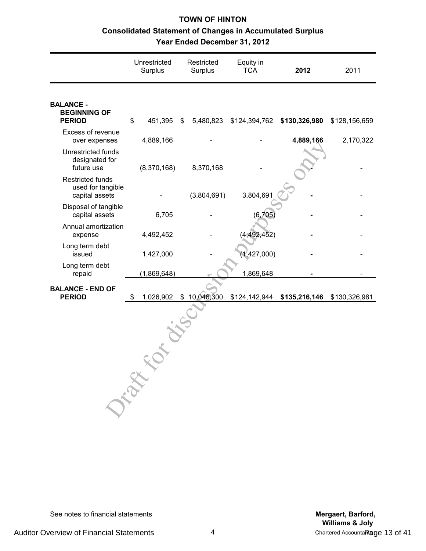# **TOWN OF HINTON Consolidated Statement of Changes in Accumulated Surplus Year Ended December 31, 2012**

|                                                                | Unrestricted<br>Surplus |               | Restricted<br>Surplus | Equity in<br><b>TCA</b> | 2012                        | 2011          |
|----------------------------------------------------------------|-------------------------|---------------|-----------------------|-------------------------|-----------------------------|---------------|
| <b>BALANCE -</b><br><b>BEGINNING OF</b><br><b>PERIOD</b>       | \$                      | 451,395<br>\$ | 5,480,823             |                         | \$124,394,762 \$130,326,980 | \$128,156,659 |
| Excess of revenue<br>over expenses                             |                         | 4,889,166     |                       |                         | 4,889,166                   | 2,170,322     |
| Unrestricted funds<br>designated for<br>future use             |                         | (8,370,168)   | 8,370,168             |                         |                             |               |
| <b>Restricted funds</b><br>used for tangible<br>capital assets |                         |               | (3,804,691)           | 3,804,691               |                             |               |
| Disposal of tangible<br>capital assets                         |                         | 6,705         |                       | (6,705)                 |                             |               |
| Annual amortization<br>expense                                 |                         | 4,492,452     |                       | (4,492,452)             |                             |               |
| Long term debt<br>issued                                       |                         | 1,427,000     |                       | (1,427,000)             |                             |               |
| Long term debt<br>repaid                                       |                         | (1,869,648)   |                       | 1,869,648               |                             |               |
| <b>BALANCE - END OF</b><br><b>PERIOD</b>                       | \$                      | 1,026,902     | \$10,046,300          |                         | \$124,142,944 \$135,216,146 | \$130,326,981 |
|                                                                | Drawn                   |               |                       |                         |                             |               |

See notes to financial statements **Mergaert, Barford, Mergaert, Barford,**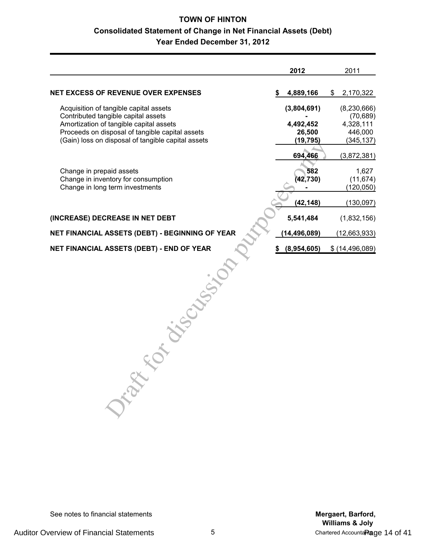# **TOWN OF HINTON Consolidated Statement of Change in Net Financial Assets (Debt) Year Ended December 31, 2012**

| 4,889,166<br>\$<br>(3,804,691)<br>4,492,452 | 2,170,322<br>\$<br>(8, 230, 666) |
|---------------------------------------------|----------------------------------|
|                                             |                                  |
|                                             | (70, 689)                        |
|                                             | 4,328,111                        |
| 26,500                                      | 446,000                          |
| (19, 795)                                   | (345, 137)                       |
| 694,466                                     | (3,872,381)                      |
|                                             | 1,627                            |
| (42, 730)                                   | (11, 674)                        |
|                                             | (120, 050)                       |
| (42, 148)                                   | (130, 097)                       |
| 5,541,484                                   | (1,832,156)                      |
| (14, 496, 089)                              | (12, 663, 933)                   |
|                                             | \$ (14,496,089)                  |
|                                             |                                  |
|                                             | 582<br>(8,954,605)               |

See notes to financial statements **Mergaert, Barford, Mergaert, Barford,**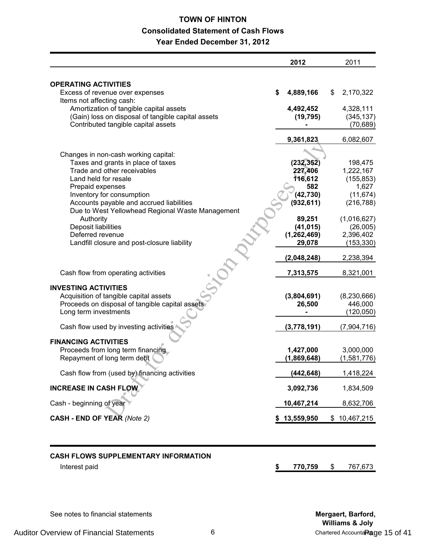# **TOWN OF HINTON Consolidated Statement of Cash Flows Year Ended December 31, 2012**

|                                                    |   | 2012             | 2011                    |
|----------------------------------------------------|---|------------------|-------------------------|
| <b>OPERATING ACTIVITIES</b>                        |   |                  |                         |
| Excess of revenue over expenses                    | S | 4,889,166        | \$<br>2,170,322         |
| Items not affecting cash:                          |   |                  |                         |
| Amortization of tangible capital assets            |   | 4,492,452        | 4,328,111               |
| (Gain) loss on disposal of tangible capital assets |   | (19, 795)        | (345, 137)              |
| Contributed tangible capital assets                |   |                  | (70, 689)               |
|                                                    |   | 9,361,823        | 6,082,607               |
|                                                    |   |                  |                         |
| Changes in non-cash working capital:               |   |                  |                         |
| Taxes and grants in place of taxes                 |   | (232, 352)       | 198,475                 |
| Trade and other receivables                        |   | 227,406          | 1,222,167               |
| Land held for resale                               |   | 116,612          | (155, 853)              |
| Prepaid expenses<br>Inventory for consumption      |   | 582<br>(42, 730) | 1,627                   |
| Accounts payable and accrued liabilities           |   | (932, 611)       | (11, 674)<br>(216, 788) |
| Due to West Yellowhead Regional Waste Management   |   |                  |                         |
| Authority                                          |   | 89,251           | (1,016,627)             |
| Deposit liabilities                                |   | (41, 015)        | (26,005)                |
| Deferred revenue                                   |   | (1, 262, 469)    | 2,396,402               |
| Landfill closure and post-closure liability        |   | 29,078           | (153, 330)              |
|                                                    |   |                  |                         |
|                                                    |   | (2,048,248)      | 2,238,394               |
| Cash flow from operating activities                |   | 7,313,575        | 8,321,001               |
| <b>INVESTING ACTIVITIES</b>                        |   |                  |                         |
| Acquisition of tangible capital assets             |   | (3,804,691)      | (8, 230, 666)           |
| Proceeds on disposal of tangible capital assets    |   | 26,500           | 446,000                 |
| Long term investments                              |   |                  | (120, 050)              |
|                                                    |   |                  |                         |
| Cash flow used by investing activities             |   | (3,778,191)      | (7,904,716)             |
| <b>FINANCING ACTIVITIES</b>                        |   |                  |                         |
| Proceeds from long term financing                  |   | 1,427,000        | 3,000,000               |
| Repayment of long term debt                        |   | (1,869,648)      | (1,581,776)             |
| Cash flow from (used by) financing activities      |   | (442,648)        | 1,418,224               |
| <b>INCREASE IN CASH FLOW</b>                       |   | 3,092,736        | 1,834,509               |
| Cash - beginning of year                           |   | 10,467,214       | 8,632,706               |
| <b>CASH - END OF YEAR (Note 2)</b>                 |   | \$13,559,950     | \$10,467,215            |
|                                                    |   |                  |                         |
|                                                    |   |                  |                         |
|                                                    |   |                  |                         |
| CASH EI OWS SHDDI EMENTADY INEODMATION             |   |                  |                         |

#### **CASH FLOWS SUPPLEMENTARY INFORMATION**

Interest paid **\$ 770,759** \$ 767,673

See notes to financial statements **Mergaert, Barford, Mergaert, Barford,**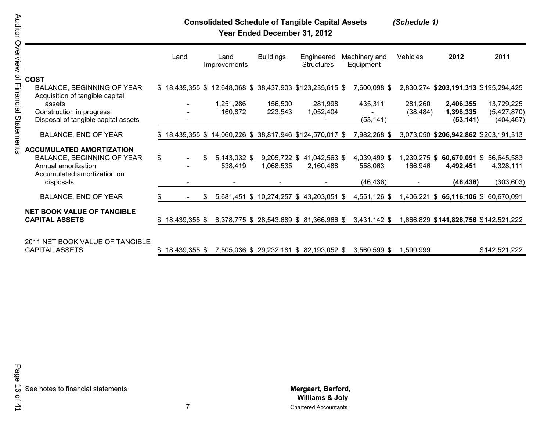# **Consolidated Schedule of Tangible Capital Assets** *(Schedule 1)*

**Year Ended December 31, 2012**

|                                                                      |     | Land             |     | Land<br>Improvements                                    | <b>Buildings</b> | Engineered<br><b>Structures</b>          | Machinery and<br>Equipment | Vehicles     | 2012                                  | 2011          |
|----------------------------------------------------------------------|-----|------------------|-----|---------------------------------------------------------|------------------|------------------------------------------|----------------------------|--------------|---------------------------------------|---------------|
| <b>COST</b>                                                          |     |                  |     |                                                         |                  |                                          |                            |              |                                       |               |
| <b>BALANCE, BEGINNING OF YEAR</b><br>Acquisition of tangible capital |     |                  |     | \$18,439,355 \$12,648,068 \$38,437,903 \$123,235,615 \$ |                  |                                          | 7,600,098 \$               |              | 2,830,274 \$203,191,313 \$195,294,425 |               |
| assets                                                               |     |                  |     | 1,251,286                                               | 156,500          | 281,998                                  | 435,311                    | 281,260      | 2,406,355                             | 13,729,225    |
| Construction in progress                                             |     |                  |     | 160,872                                                 | 223,543          | 1,052,404                                |                            | (38, 484)    | 1,398,335                             | (5,427,870)   |
| Disposal of tangible capital assets                                  |     |                  |     |                                                         |                  |                                          | (53, 141)                  |              | (53, 141)                             | (404, 467)    |
| <b>BALANCE, END OF YEAR</b>                                          |     |                  |     | \$18,439,355 \$14,060,226 \$38,817,946 \$124,570,017 \$ |                  |                                          | 7,982,268 \$               |              | 3,073,050 \$206,942,862 \$203,191,313 |               |
| <b>ACCUMULATED AMORTIZATION</b>                                      |     |                  |     |                                                         |                  |                                          |                            |              |                                       |               |
| BALANCE, BEGINNING OF YEAR                                           | \$  | $\blacksquare$   | \$  | 5,143,032 \$                                            | 9,205,722 \$     | 41,042,563 \$                            | 4,039,499 \$               | 1,239,275 \$ | 60,670,091 \$                         | 56,645,583    |
| Annual amortization                                                  |     |                  |     | 538,419                                                 | 1,068,535        | 2,160,488                                | 558,063                    | 166,946      | 4,492,451                             | 4,328,111     |
| Accumulated amortization on                                          |     |                  |     |                                                         |                  |                                          |                            |              |                                       |               |
| disposals                                                            |     |                  |     |                                                         |                  |                                          | (46, 436)                  |              | (46, 436)                             | (303, 603)    |
| <b>BALANCE, END OF YEAR</b>                                          | \$. |                  | \$. | 5,681,451 \$                                            |                  | 10,274,257 \$43,203,051 \$               | 4,551,126 \$               | ,406,221     | $$65,116,106$$ 60,670,091             |               |
|                                                                      |     |                  |     |                                                         |                  |                                          |                            |              |                                       |               |
| <b>NET BOOK VALUE OF TANGIBLE</b>                                    |     |                  |     |                                                         |                  |                                          |                            |              |                                       |               |
| <b>CAPITAL ASSETS</b>                                                |     | $$18,439,355$ \$ |     |                                                         |                  | 8,378,775 \$ 28,543,689 \$ 81,366,966 \$ | $3,431,142$ \$             |              | ,666,829 \$141,826,756 \$142,521,222  |               |
|                                                                      |     |                  |     |                                                         |                  |                                          |                            |              |                                       |               |
| 2011 NET BOOK VALUE OF TANGIBLE                                      |     |                  |     |                                                         |                  |                                          |                            |              |                                       |               |
| <b>CAPITAL ASSETS</b>                                                |     | $$18,439,355$ \$ |     |                                                         |                  | 7,505,036 \$ 29,232,181 \$ 82,193,052 \$ | 3,560,599 \$               | 1,590,999    |                                       | \$142,521,222 |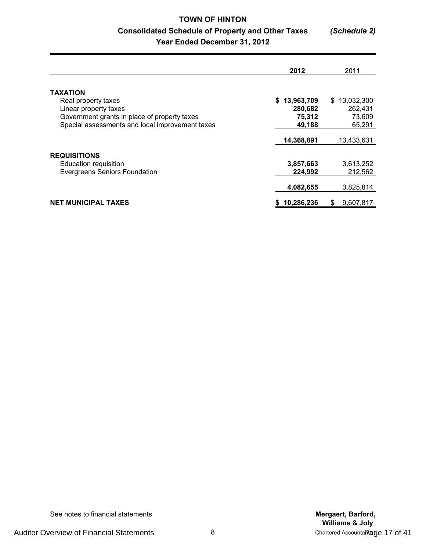# **TOWN OF HINTON Consolidated Schedule of Property and Other Taxes** *(Schedule 2)* **Year Ended December 31, 2012**

|                                                                                                                 | 2012                              | 2011                                  |
|-----------------------------------------------------------------------------------------------------------------|-----------------------------------|---------------------------------------|
| <b>TAXATION</b><br>Real property taxes<br>Linear property taxes<br>Government grants in place of property taxes | \$13,963,709<br>280,682<br>75,312 | 13,032,300<br>S.<br>262,431<br>73,609 |
| Special assessments and local improvement taxes                                                                 | 49,188<br>14,368,891              | 65,291<br>13,433,631                  |
| <b>REQUISITIONS</b><br>Education requisition                                                                    | 3,857,663                         | 3,613,252                             |
| <b>Evergreens Seniors Foundation</b>                                                                            | 224.992<br>4,082,655              | 212,562<br>3,825,814                  |
| <b>NET MUNICIPAL TAXES</b>                                                                                      | 10,286,236                        | 9,607,817<br>S                        |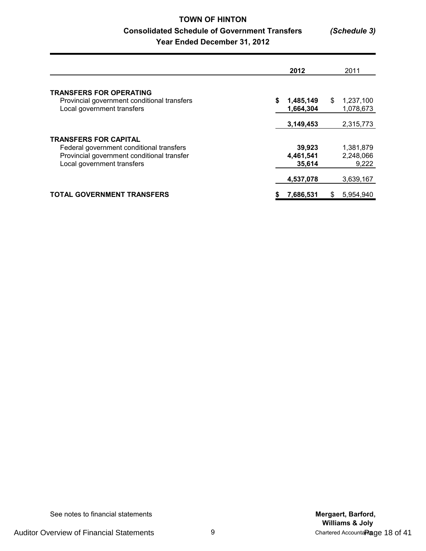# **TOWN OF HINTON Consolidated Schedule of Government Transfers** *(Schedule 3)* **Year Ended December 31, 2012**

|                                                                                                                                                      | 2012                          | 2011                            |
|------------------------------------------------------------------------------------------------------------------------------------------------------|-------------------------------|---------------------------------|
| <b>TRANSFERS FOR OPERATING</b><br>Provincial government conditional transfers<br>Local government transfers                                          | \$<br>1,485,149<br>1.664.304  | \$<br>1,237,100<br>1,078,673    |
|                                                                                                                                                      | 3,149,453                     | 2,315,773                       |
| <b>TRANSFERS FOR CAPITAL</b><br>Federal government conditional transfers<br>Provincial government conditional transfer<br>Local government transfers | 39,923<br>4,461,541<br>35,614 | 1,381,879<br>2,248,066<br>9,222 |
|                                                                                                                                                      | 4,537,078                     | 3,639,167                       |
| TOTAL GOVERNMENT TRANSFERS                                                                                                                           | 7,686,531<br>\$               | 5,954,940<br>\$                 |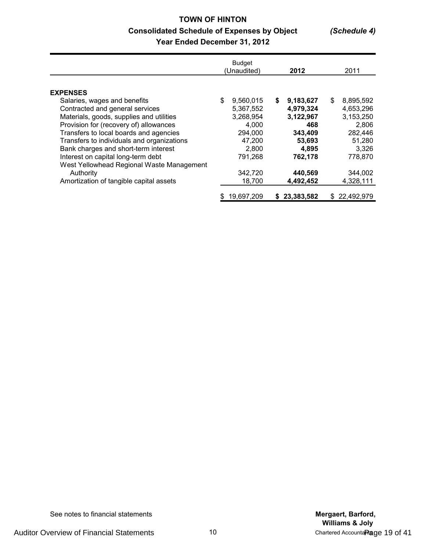# **TOWN OF HINTON Consolidated Schedule of Expenses by Object** *(Schedule 4)* **Year Ended December 31, 2012**

|                                            | <b>Budget</b><br>(Unaudited) |            | 2012 |            |    | 2011       |  |
|--------------------------------------------|------------------------------|------------|------|------------|----|------------|--|
| <b>EXPENSES</b>                            |                              |            |      |            |    |            |  |
| Salaries, wages and benefits               | \$                           | 9,560,015  | S.   | 9,183,627  | \$ | 8,895,592  |  |
| Contracted and general services            |                              | 5,367,552  |      | 4,979,324  |    | 4,653,296  |  |
| Materials, goods, supplies and utilities   |                              | 3,268,954  |      | 3,122,967  |    | 3,153,250  |  |
| Provision for (recovery of) allowances     |                              | 4,000      |      | 468        |    | 2,806      |  |
| Transfers to local boards and agencies     |                              | 294,000    |      | 343,409    |    | 282,446    |  |
| Transfers to individuals and organizations |                              | 47,200     |      | 53,693     |    | 51,280     |  |
| Bank charges and short-term interest       |                              | 2,800      |      | 4.895      |    | 3,326      |  |
| Interest on capital long-term debt         |                              | 791,268    |      | 762,178    |    | 778,870    |  |
| West Yellowhead Regional Waste Management  |                              |            |      |            |    |            |  |
| Authority                                  |                              | 342,720    |      | 440,569    |    | 344,002    |  |
| Amortization of tangible capital assets    |                              | 18,700     |      | 4,492,452  |    | 4,328,111  |  |
|                                            | \$                           | 19,697,209 |      | 23,383,582 | S. | 22,492,979 |  |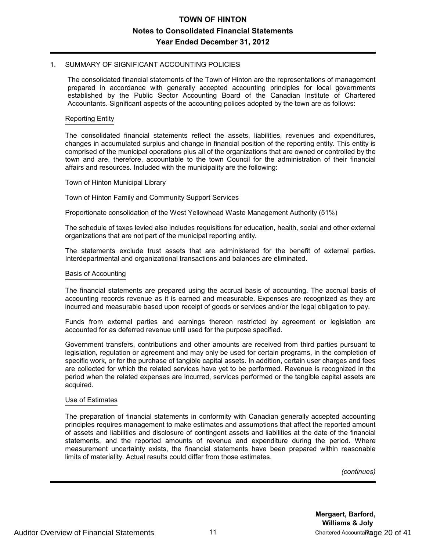#### 1. SUMMARY OF SIGNIFICANT ACCOUNTING POLICIES

The consolidated financial statements of the Town of Hinton are the representations of management prepared in accordance with generally accepted accounting principles for local governments established by the Public Sector Accounting Board of the Canadian Institute of Chartered Accountants. Significant aspects of the accounting polices adopted by the town are as follows:

#### Reporting Entity

The consolidated financial statements reflect the assets, liabilities, revenues and expenditures, changes in accumulated surplus and change in financial position of the reporting entity. This entity is comprised of the municipal operations plus all of the organizations that are owned or controlled by the town and are, therefore, accountable to the town Council for the administration of their financial affairs and resources. Included with the municipality are the following:

#### Town of Hinton Municipal Library

Town of Hinton Family and Community Support Services

Proportionate consolidation of the West Yellowhead Waste Management Authority (51%)

The schedule of taxes levied also includes requisitions for education, health, social and other external organizations that are not part of the municipal reporting entity.

The statements exclude trust assets that are administered for the benefit of external parties. Interdepartmental and organizational transactions and balances are eliminated.

#### Basis of Accounting

The financial statements are prepared using the accrual basis of accounting. The accrual basis of accounting records revenue as it is earned and measurable. Expenses are recognized as they are incurred and measurable based upon receipt of goods or services and/or the legal obligation to pay.

Funds from external parties and earnings thereon restricted by agreement or legislation are accounted for as deferred revenue until used for the purpose specified.

Government transfers, contributions and other amounts are received from third parties pursuant to legislation, regulation or agreement and may only be used for certain programs, in the completion of specific work, or for the purchase of tangible capital assets. In addition, certain user charges and fees are collected for which the related services have yet to be performed. Revenue is recognized in the period when the related expenses are incurred, services performed or the tangible capital assets are acquired.

#### Use of Estimates

The preparation of financial statements in conformity with Canadian generally accepted accounting principles requires management to make estimates and assumptions that affect the reported amount of assets and liabilities and disclosure of contingent assets and liabilities at the date of the financial statements, and the reported amounts of revenue and expenditure during the period. Where measurement uncertainty exists, the financial statements have been prepared within reasonable limits of materiality. Actual results could differ from those estimates.

*(continues)*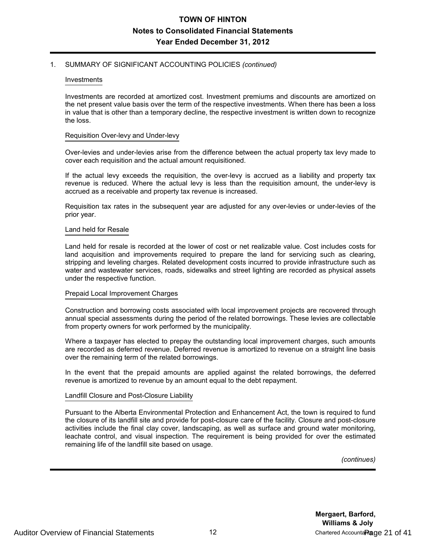#### 1. SUMMARY OF SIGNIFICANT ACCOUNTING POLICIES *(continued)*

#### Investments

Investments are recorded at amortized cost. Investment premiums and discounts are amortized on the net present value basis over the term of the respective investments. When there has been a loss in value that is other than a temporary decline, the respective investment is written down to recognize the loss.

#### Requisition Over-levy and Under-levy

Over-levies and under-levies arise from the difference between the actual property tax levy made to cover each requisition and the actual amount requisitioned.

If the actual levy exceeds the requisition, the over-levy is accrued as a liability and property tax revenue is reduced. Where the actual levy is less than the requisition amount, the under-levy is accrued as a receivable and property tax revenue is increased.

Requisition tax rates in the subsequent year are adjusted for any over-levies or under-levies of the prior year.

#### Land held for Resale

Land held for resale is recorded at the lower of cost or net realizable value. Cost includes costs for land acquisition and improvements required to prepare the land for servicing such as clearing, stripping and leveling charges. Related development costs incurred to provide infrastructure such as water and wastewater services, roads, sidewalks and street lighting are recorded as physical assets under the respective function.

#### Prepaid Local Improvement Charges

Construction and borrowing costs associated with local improvement projects are recovered through annual special assessments during the period of the related borrowings. These levies are collectable from property owners for work performed by the municipality.

Where a taxpayer has elected to prepay the outstanding local improvement charges, such amounts are recorded as deferred revenue. Deferred revenue is amortized to revenue on a straight line basis over the remaining term of the related borrowings.

In the event that the prepaid amounts are applied against the related borrowings, the deferred revenue is amortized to revenue by an amount equal to the debt repayment.

#### Landfill Closure and Post-Closure Liability

Pursuant to the Alberta Environmental Protection and Enhancement Act, the town is required to fund the closure of its landfill site and provide for post-closure care of the facility. Closure and post-closure activities include the final clay cover, landscaping, as well as surface and ground water monitoring, leachate control, and visual inspection. The requirement is being provided for over the estimated remaining life of the landfill site based on usage.

*(continues)*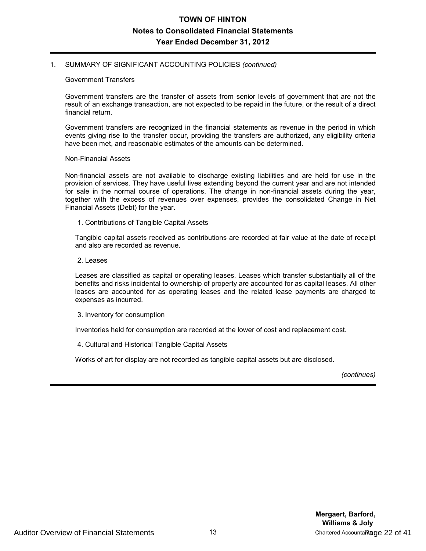#### 1. SUMMARY OF SIGNIFICANT ACCOUNTING POLICIES *(continued)*

#### Government Transfers

Government transfers are the transfer of assets from senior levels of government that are not the result of an exchange transaction, are not expected to be repaid in the future, or the result of a direct financial return.

Government transfers are recognized in the financial statements as revenue in the period in which events giving rise to the transfer occur, providing the transfers are authorized, any eligibility criteria have been met, and reasonable estimates of the amounts can be determined.

#### Non-Financial Assets

Non-financial assets are not available to discharge existing liabilities and are held for use in the provision of services. They have useful lives extending beyond the current year and are not intended for sale in the normal course of operations. The change in non-financial assets during the year, together with the excess of revenues over expenses, provides the consolidated Change in Net Financial Assets (Debt) for the year.

1. Contributions of Tangible Capital Assets

Tangible capital assets received as contributions are recorded at fair value at the date of receipt and also are recorded as revenue.

2. Leases

Leases are classified as capital or operating leases. Leases which transfer substantially all of the benefits and risks incidental to ownership of property are accounted for as capital leases. All other leases are accounted for as operating leases and the related lease payments are charged to expenses as incurred.

3. Inventory for consumption

Inventories held for consumption are recorded at the lower of cost and replacement cost.

4. Cultural and Historical Tangible Capital Assets

Works of art for display are not recorded as tangible capital assets but are disclosed.

*(continues)*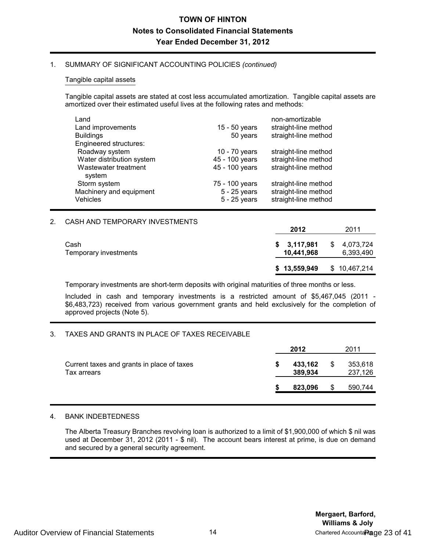#### 1. SUMMARY OF SIGNIFICANT ACCOUNTING POLICIES *(continued)*

#### Tangible capital assets

Tangible capital assets are stated at cost less accumulated amortization. Tangible capital assets are amortized over their estimated useful lives at the following rates and methods:

| Land                                       |                                | non-amortizable                              |
|--------------------------------------------|--------------------------------|----------------------------------------------|
| Land improvements                          | 15 - 50 years                  | straight-line method                         |
| <b>Buildings</b>                           | 50 years                       | straight-line method                         |
| Engineered structures:                     |                                |                                              |
| Roadway system                             | 10 - 70 years                  | straight-line method                         |
| Water distribution system                  | 45 - 100 years                 | straight-line method                         |
| Wastewater treatment<br>system             | 45 - 100 years                 | straight-line method                         |
| Storm system                               | 75 - 100 years                 | straight-line method                         |
| Machinery and equipment<br><b>Vehicles</b> | 5 - 25 years<br>$5 - 25$ years | straight-line method<br>straight-line method |
|                                            |                                |                                              |

#### 2. CASH AND TEMPORARY INVESTMENTS

|                               | 2012                      | 2011                         |
|-------------------------------|---------------------------|------------------------------|
| Cash<br>Temporary investments | \$3,117,981<br>10,441,968 | 4,073,724<br>\$<br>6,393,490 |
|                               | \$13,559,949              | \$10,467,214                 |

Temporary investments are short-term deposits with original maturities of three months or less.

Included in cash and temporary investments is a restricted amount of \$5,467,045 (2011 - \$6,483,723) received from various government grants and held exclusively for the completion of approved projects (Note 5).

#### 3. TAXES AND GRANTS IN PLACE OF TAXES RECEIVABLE

|                                                           | 2012 |                    |   | 2011               |  |  |
|-----------------------------------------------------------|------|--------------------|---|--------------------|--|--|
| Current taxes and grants in place of taxes<br>Tax arrears | 5    | 433,162<br>389,934 | S | 353,618<br>237,126 |  |  |
|                                                           |      | 823,096            | S | 590,744            |  |  |

#### 4. BANK INDEBTEDNESS

The Alberta Treasury Branches revolving loan is authorized to a limit of \$1,900,000 of which \$ nil was used at December 31, 2012 (2011 - \$ nil). The account bears interest at prime, is due on demand and secured by a general security agreement.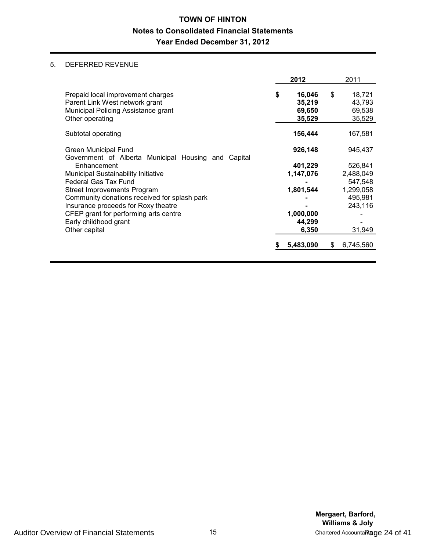### 5. DEFERRED REVENUE

|                                                                                                                               | 2012                                       | 2011                                       |
|-------------------------------------------------------------------------------------------------------------------------------|--------------------------------------------|--------------------------------------------|
| Prepaid local improvement charges<br>Parent Link West network grant<br>Municipal Policing Assistance grant<br>Other operating | \$<br>16,046<br>35,219<br>69,650<br>35,529 | \$<br>18,721<br>43.793<br>69,538<br>35,529 |
| Subtotal operating                                                                                                            | 156,444                                    | 167,581                                    |
| Green Municipal Fund<br>Government of Alberta Municipal Housing and Capital                                                   | 926,148                                    | 945,437                                    |
| Enhancement                                                                                                                   | 401,229                                    | 526,841                                    |
| Municipal Sustainability Initiative                                                                                           | 1,147,076                                  | 2,488,049                                  |
| <b>Federal Gas Tax Fund</b>                                                                                                   |                                            | 547,548                                    |
| Street Improvements Program                                                                                                   | 1,801,544                                  | 1,299,058                                  |
| Community donations received for splash park                                                                                  |                                            | 495,981                                    |
| Insurance proceeds for Roxy theatre                                                                                           |                                            | 243,116                                    |
| CFEP grant for performing arts centre                                                                                         | 1,000,000                                  |                                            |
| Early childhood grant                                                                                                         | 44,299                                     |                                            |
| Other capital                                                                                                                 | 6,350                                      | 31,949                                     |
|                                                                                                                               | 5,483,090                                  | \$<br>6,745,560                            |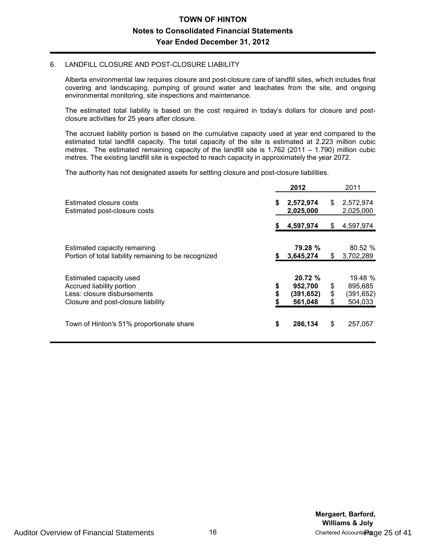#### 6. LANDFILL CLOSURE AND POST-CLOSURE LIABILITY

Alberta environmental law requires closure and post-closure care of landfill sites, which includes final covering and landscaping, pumping of ground water and leachates from the site, and ongoing environmental monitoring, site inspections and maintenance.

The estimated total liability is based on the cost required in today's dollars for closure and postclosure activities for 25 years after closure.

The accrued liability portion is based on the cumulative capacity used at year end compared to the estimated total landfill capacity. The total capacity of the site is estimated at 2.223 million cubic metres. The estimated remaining capacity of the landfill site is 1.762 (2011 – 1.790) million cubic metres. The existing landfill site is expected to reach capacity in approximately the year 2072.

The authority has not designated assets for settling closure and post-closure liabilities.

|                                                                                                                           |                | 2012                                      |                | 2011                                       |
|---------------------------------------------------------------------------------------------------------------------------|----------------|-------------------------------------------|----------------|--------------------------------------------|
| Estimated closure costs<br>Estimated post-closure costs                                                                   | \$             | 2,572,974<br>2,025,000                    | \$             | 2,572,974<br>2,025,000                     |
|                                                                                                                           | S              | 4,597,974                                 | S              | 4,597,974                                  |
| Estimated capacity remaining<br>Portion of total liability remaining to be recognized                                     | \$             | 79.28 %<br>3,645,274                      | \$             | 80.52 %<br>3,702,289                       |
| Estimated capacity used<br>Accrued liability portion<br>Less: closure disbursements<br>Closure and post-closure liability | \$<br>\$<br>\$ | 20.72%<br>952,700<br>(391,652)<br>561,048 | \$<br>\$<br>\$ | 19.48 %<br>895,685<br>(391,652)<br>504,033 |
| Town of Hinton's 51% proportionate share                                                                                  | \$             | 286,134                                   | \$             | 257,057                                    |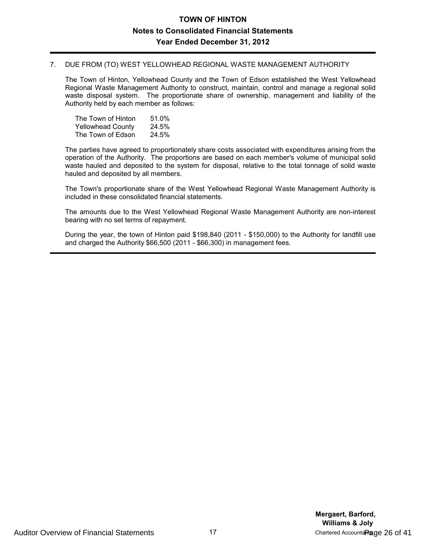#### 7. DUE FROM (TO) WEST YELLOWHEAD REGIONAL WASTE MANAGEMENT AUTHORITY

The Town of Hinton, Yellowhead County and the Town of Edson established the West Yellowhead Regional Waste Management Authority to construct, maintain, control and manage a regional solid waste disposal system. The proportionate share of ownership, management and liability of the Authority held by each member as follows:

| The Town of Hinton       | 51.0% |
|--------------------------|-------|
| <b>Yellowhead County</b> | 24.5% |
| The Town of Edson        | 24.5% |

The parties have agreed to proportionately share costs associated with expenditures arising from the operation of the Authority. The proportions are based on each member's volume of municipal solid waste hauled and deposited to the system for disposal, relative to the total tonnage of solid waste hauled and deposited by all members.

The Town's proportionate share of the West Yellowhead Regional Waste Management Authority is included in these consolidated financial statements.

The amounts due to the West Yellowhead Regional Waste Management Authority are non-interest bearing with no set terms of repayment.

During the year, the town of Hinton paid \$198,840 (2011 - \$150,000) to the Authority for landfill use and charged the Authority \$66,500 (2011 - \$66,300) in management fees.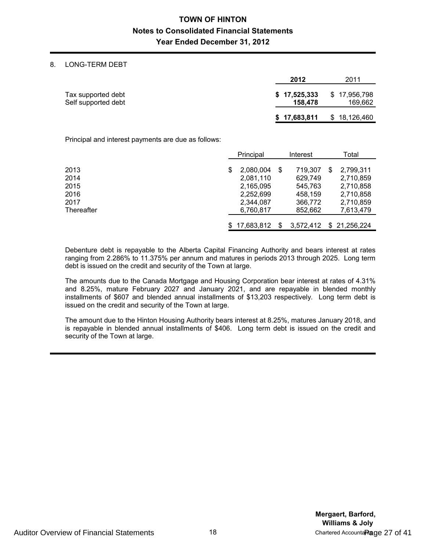#### 8. LONG-TERM DEBT

|                                           | 2012                    | 2011                    |
|-------------------------------------------|-------------------------|-------------------------|
| Tax supported debt<br>Self supported debt | \$17,525,333<br>158,478 | \$17,956,798<br>169,662 |
|                                           | \$17,683,811            | \$18,126,460            |

Principal and interest payments are due as follows:

|              | Principal              |    | Interest           |  | Total                  |
|--------------|------------------------|----|--------------------|--|------------------------|
| 2013         | 2.080.004              | S  | 719,307            |  | 2,799,311              |
| 2014<br>2015 | 2,081,110<br>2,165,095 |    | 629,749<br>545,763 |  | 2,710,859<br>2,710,858 |
| 2016         | 2,252,699              |    | 458.159            |  | 2,710,858              |
| 2017         | 2,344,087              |    | 366,772            |  | 2,710,859              |
| Thereafter   | 6,760,817              |    | 852,662            |  | 7,613,479              |
|              | \$17.683.812           | S. | 3,572,412          |  | \$21,256,224           |

Debenture debt is repayable to the Alberta Capital Financing Authority and bears interest at rates ranging from 2.286% to 11.375% per annum and matures in periods 2013 through 2025. Long term debt is issued on the credit and security of the Town at large.

The amounts due to the Canada Mortgage and Housing Corporation bear interest at rates of 4.31% and 8.25%, mature February 2027 and January 2021, and are repayable in blended monthly installments of \$607 and blended annual installments of \$13,203 respectively. Long term debt is issued on the credit and security of the Town at large.

The amount due to the Hinton Housing Authority bears interest at 8.25%, matures January 2018, and is repayable in blended annual installments of \$406. Long term debt is issued on the credit and security of the Town at large.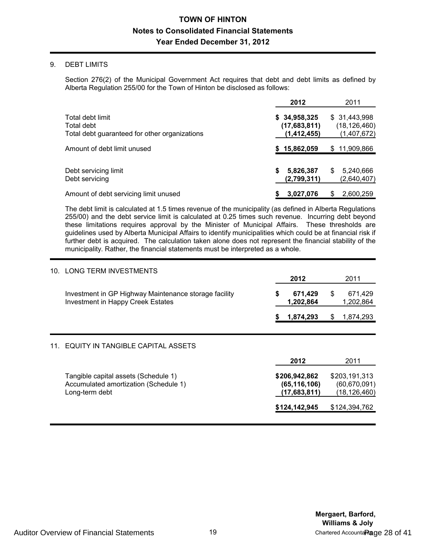#### 9. DEBT LIMITS

Section 276(2) of the Municipal Government Act requires that debt and debt limits as defined by Alberta Regulation 255/00 for the Town of Hinton be disclosed as follows:

|                                                                                 | 2012                                          | 2011                                           |
|---------------------------------------------------------------------------------|-----------------------------------------------|------------------------------------------------|
| Total debt limit<br>Total debt<br>Total debt guaranteed for other organizations | \$34,958,325<br>(17,683,811)<br>(1, 412, 455) | \$ 31,443,998<br>(18, 126, 460)<br>(1,407,672) |
| Amount of debt limit unused                                                     | 15,862,059                                    | 11,909,866<br>S.                               |
| Debt servicing limit<br>Debt servicing                                          | 5,826,387<br>S<br>(2,799,311)                 | 5,240,666<br>S<br>(2,640,407)                  |
| Amount of debt servicing limit unused                                           | 3,027,076                                     | 2,600,259<br>S                                 |

The debt limit is calculated at 1.5 times revenue of the municipality (as defined in Alberta Regulations 255/00) and the debt service limit is calculated at 0.25 times such revenue. Incurring debt beyond these limitations requires approval by the Minister of Municipal Affairs. These thresholds are guidelines used by Alberta Municipal Affairs to identify municipalities which could be at financial risk if further debt is acquired. The calculation taken alone does not represent the financial stability of the municipality. Rather, the financial statements must be interpreted as a whole.

| 10. | LONG TERM INVESTMENTS                                                                           | 2012                                            |    | 2011                                              |
|-----|-------------------------------------------------------------------------------------------------|-------------------------------------------------|----|---------------------------------------------------|
|     | Investment in GP Highway Maintenance storage facility<br>Investment in Happy Creek Estates      | \$<br>671,429<br>1,202,864                      | \$ | 671,429<br>1,202,864                              |
|     |                                                                                                 | 1,874,293                                       | S  | 1,874,293                                         |
|     | EQUITY IN TANGIBLE CAPITAL ASSETS                                                               |                                                 |    |                                                   |
|     |                                                                                                 | 2012                                            |    | 2011                                              |
|     | Tangible capital assets (Schedule 1)<br>Accumulated amortization (Schedule 1)<br>Long-term debt | \$206,942,862<br>(65, 116, 106)<br>(17,683,811) |    | \$203,191,313<br>(60, 670, 091)<br>(18, 126, 460) |
|     |                                                                                                 | \$124,142,945                                   |    | \$124,394,762                                     |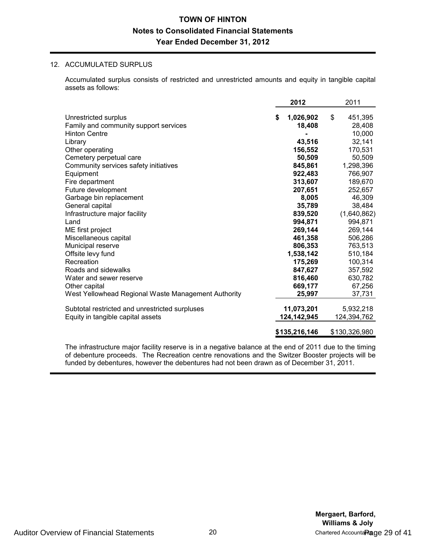#### 12. ACCUMULATED SURPLUS

Accumulated surplus consists of restricted and unrestricted amounts and equity in tangible capital assets as follows:

|                                                     | 2012            | 2011          |
|-----------------------------------------------------|-----------------|---------------|
| Unrestricted surplus                                | \$<br>1,026,902 | \$<br>451,395 |
| Family and community support services               | 18,408          | 28,408        |
| <b>Hinton Centre</b>                                |                 | 10,000        |
| Library                                             | 43,516          | 32,141        |
| Other operating                                     | 156,552         | 170,531       |
| Cemetery perpetual care                             | 50,509          | 50,509        |
| Community services safety initiatives               | 845,861         | 1,298,396     |
| Equipment                                           | 922,483         | 766,907       |
| Fire department                                     | 313,607         | 189,670       |
| Future development                                  | 207,651         | 252,657       |
| Garbage bin replacement                             | 8,005           | 46,309        |
| General capital                                     | 35,789          | 38,484        |
| Infrastructure major facility                       | 839,520         | (1,640,862)   |
| Land                                                | 994,871         | 994,871       |
| ME first project                                    | 269,144         | 269,144       |
| Miscellaneous capital                               | 461,358         | 506,286       |
| Municipal reserve                                   | 806,353         | 763,513       |
| Offsite levy fund                                   | 1,538,142       | 510,184       |
| Recreation                                          | 175,269         | 100,314       |
| Roads and sidewalks                                 | 847,627         | 357,592       |
| Water and sewer reserve                             | 816,460         | 630,782       |
| Other capital                                       | 669,177         | 67,256        |
| West Yellowhead Regional Waste Management Authority | 25,997          | 37,731        |
| Subtotal restricted and unrestricted surpluses      | 11,073,201      | 5,932,218     |
| Equity in tangible capital assets                   | 124,142,945     | 124,394,762   |
|                                                     | \$135,216,146   | \$130,326,980 |

The infrastructure major facility reserve is in a negative balance at the end of 2011 due to the timing of debenture proceeds. The Recreation centre renovations and the Switzer Booster projects will be funded by debentures, however the debentures had not been drawn as of December 31, 2011.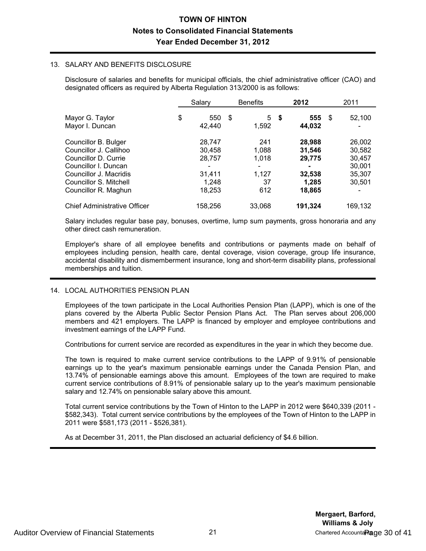#### 13. SALARY AND BENEFITS DISCLOSURE

Disclosure of salaries and benefits for municipal officials, the chief administrative officer (CAO) and designated officers as required by Alberta Regulation 313/2000 is as follows:

|                                                                                                                                                                            | Salary                                                  |      | <b>Benefits</b>                             |      | 2012                                                    | 2011                                                     |
|----------------------------------------------------------------------------------------------------------------------------------------------------------------------------|---------------------------------------------------------|------|---------------------------------------------|------|---------------------------------------------------------|----------------------------------------------------------|
| Mayor G. Taylor<br>Mayor I. Duncan                                                                                                                                         | \$<br>550<br>42.440                                     | - \$ | 5<br>1,592                                  | - \$ | 555<br>44.032                                           | \$<br>52,100                                             |
| Councillor B. Bulger<br>Councillor J. Callihoo<br>Councillor D. Currie<br>Councillor I. Duncan<br>Councillor J. Macridis<br>Councillor S. Mitchell<br>Councillor R. Maghun | 28,747<br>30.458<br>28,757<br>31,411<br>1.248<br>18.253 |      | 241<br>1,088<br>1,018<br>1,127<br>37<br>612 |      | 28,988<br>31.546<br>29,775<br>32,538<br>1.285<br>18.865 | 26,002<br>30,582<br>30,457<br>30.001<br>35,307<br>30.501 |
| <b>Chief Administrative Officer</b>                                                                                                                                        | 158.256                                                 |      | 33.068                                      |      | 191,324                                                 | 169.132                                                  |

Salary includes regular base pay, bonuses, overtime, lump sum payments, gross honoraria and any other direct cash remuneration.

Employer's share of all employee benefits and contributions or payments made on behalf of employees including pension, health care, dental coverage, vision coverage, group life insurance, accidental disability and dismemberment insurance, long and short-term disability plans, professional memberships and tuition.

#### 14. LOCAL AUTHORITIES PENSION PLAN

Employees of the town participate in the Local Authorities Pension Plan (LAPP), which is one of the plans covered by the Alberta Public Sector Pension Plans Act. The Plan serves about 206,000 members and 421 employers. The LAPP is financed by employer and employee contributions and investment earnings of the LAPP Fund.

Contributions for current service are recorded as expenditures in the year in which they become due.

The town is required to make current service contributions to the LAPP of 9.91% of pensionable earnings up to the year's maximum pensionable earnings under the Canada Pension Plan, and 13.74% of pensionable earnings above this amount. Employees of the town are required to make current service contributions of 8.91% of pensionable salary up to the year's maximum pensionable salary and 12.74% on pensionable salary above this amount.

Total current service contributions by the Town of Hinton to the LAPP in 2012 were \$640,339 (2011 - \$582,343). Total current service contributions by the employees of the Town of Hinton to the LAPP in 2011 were \$581,173 (2011 - \$526,381).

As at December 31, 2011, the Plan disclosed an actuarial deficiency of \$4.6 billion.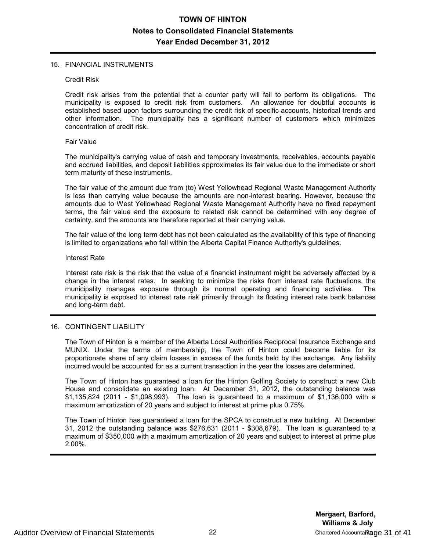#### 15. FINANCIAL INSTRUMENTS

#### Credit Risk

Credit risk arises from the potential that a counter party will fail to perform its obligations. The municipality is exposed to credit risk from customers. An allowance for doubtful accounts is established based upon factors surrounding the credit risk of specific accounts, historical trends and other information. The municipality has a significant number of customers which minimizes The municipality has a significant number of customers which minimizes concentration of credit risk.

#### Fair Value

The municipality's carrying value of cash and temporary investments, receivables, accounts payable and accrued liabilities, and deposit liabilities approximates its fair value due to the immediate or short term maturity of these instruments.

The fair value of the amount due from (to) West Yellowhead Regional Waste Management Authority is less than carrying value because the amounts are non-interest bearing. However, because the amounts due to West Yellowhead Regional Waste Management Authority have no fixed repayment terms, the fair value and the exposure to related risk cannot be determined with any degree of certainty, and the amounts are therefore reported at their carrying value.

The fair value of the long term debt has not been calculated as the availability of this type of financing is limited to organizations who fall within the Alberta Capital Finance Authority's guidelines.

#### Interest Rate

Interest rate risk is the risk that the value of a financial instrument might be adversely affected by a change in the interest rates. In seeking to minimize the risks from interest rate fluctuations, the municipality manages exposure through its normal operating and financing activities. The municipality is exposed to interest rate risk primarily through its floating interest rate bank balances and long-term debt.

#### 16. CONTINGENT LIABILITY

The Town of Hinton is a member of the Alberta Local Authorities Reciprocal Insurance Exchange and MUNIX. Under the terms of membership, the Town of Hinton could become liable for its proportionate share of any claim losses in excess of the funds held by the exchange. Any liability incurred would be accounted for as a current transaction in the year the losses are determined.

The Town of Hinton has guaranteed a loan for the Hinton Golfing Society to construct a new Club House and consolidate an existing loan. At December 31, 2012, the outstanding balance was \$1,135,824 (2011 - \$1,098,993). The loan is guaranteed to a maximum of \$1,136,000 with a maximum amortization of 20 years and subject to interest at prime plus 0.75%.

The Town of Hinton has guaranteed a loan for the SPCA to construct a new building. At December 31, 2012 the outstanding balance was \$276,631 (2011 - \$308,679). The loan is guaranteed to a maximum of \$350,000 with a maximum amortization of 20 years and subject to interest at prime plus 2.00%.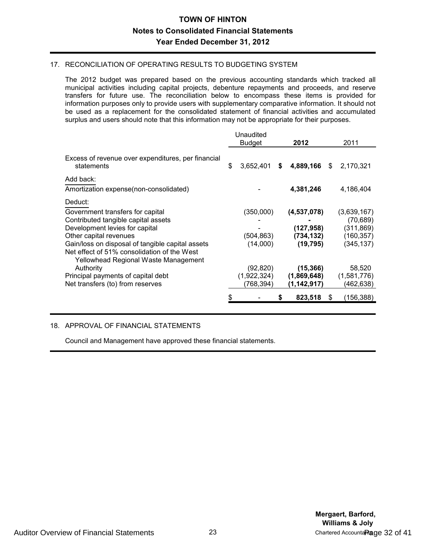#### 17. RECONCILIATION OF OPERATING RESULTS TO BUDGETING SYSTEM

The 2012 budget was prepared based on the previous accounting standards which tracked all municipal activities including capital projects, debenture repayments and proceeds, and reserve transfers for future use. The reconciliation below to encompass these items is provided for information purposes only to provide users with supplementary comparative information. It should not be used as a replacement for the consolidated statement of financial activities and accumulated surplus and users should note that this information may not be appropriate for their purposes.

|                                                                                                                                                                                                                                                   | Unaudited<br><b>Budget</b>            | 2012                                                 | 2011                                                               |
|---------------------------------------------------------------------------------------------------------------------------------------------------------------------------------------------------------------------------------------------------|---------------------------------------|------------------------------------------------------|--------------------------------------------------------------------|
| Excess of revenue over expenditures, per financial<br>statements                                                                                                                                                                                  | \$<br>3,652,401                       | \$<br>4,889,166                                      | \$<br>2,170,321                                                    |
| Add back:<br>Amortization expense(non-consolidated)                                                                                                                                                                                               |                                       | 4,381,246                                            | 4,186,404                                                          |
| Deduct:<br>Government transfers for capital<br>Contributed tangible capital assets<br>Development levies for capital<br>Other capital revenues<br>Gain/loss on disposal of tangible capital assets<br>Net effect of 51% consolidation of the West | (350,000)<br>(504,863)<br>(14,000)    | (4,537,078)<br>(127, 958)<br>(734, 132)<br>(19, 795) | (3,639,167)<br>(70, 689)<br>(311, 869)<br>(160, 357)<br>(345, 137) |
| Yellowhead Regional Waste Management<br>Authority<br>Principal payments of capital debt<br>Net transfers (to) from reserves                                                                                                                       | (92, 820)<br>(1,922,324)<br>(768,394) | (15, 366)<br>(1,869,648)<br>(1,142,917)<br>823,518   | \$<br>58,520<br>(1,581,776)<br>(462,638)<br>(156,388)              |

### 18. APPROVAL OF FINANCIAL STATEMENTS

Council and Management have approved these financial statements.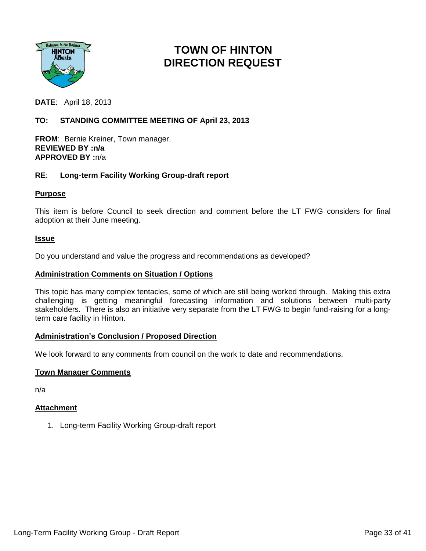

# **TOWN OF HINTON DIRECTION REQUEST**

**DATE**: April 18, 2013

### **TO: STANDING COMMITTEE MEETING OF April 23, 2013**

**FROM**: Bernie Kreiner, Town manager. **REVIEWED BY :n/a APPROVED BY :**n/a

### **RE**: **Long-term Facility Working Group-draft report**

### **Purpose**

This item is before Council to seek direction and comment before the LT FWG considers for final adoption at their June meeting.

#### **Issue**

Do you understand and value the progress and recommendations as developed?

#### **Administration Comments on Situation / Options**

This topic has many complex tentacles, some of which are still being worked through. Making this extra challenging is getting meaningful forecasting information and solutions between multi-party stakeholders. There is also an initiative very separate from the LT FWG to begin fund-raising for a longterm care facility in Hinton.

#### **Administration's Conclusion / Proposed Direction**

We look forward to any comments from council on the work to date and recommendations.

### **Town Manager Comments**

n/a

### **Attachment**

1. Long-term Facility Working Group-draft report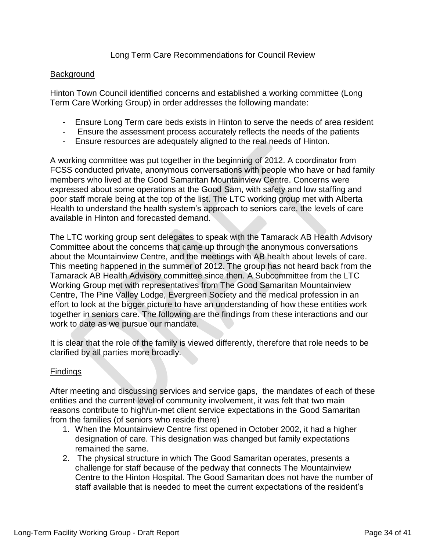# Long Term Care Recommendations for Council Review

### Background

Hinton Town Council identified concerns and established a working committee (Long Term Care Working Group) in order addresses the following mandate:

- Ensure Long Term care beds exists in Hinton to serve the needs of area resident
- Ensure the assessment process accurately reflects the needs of the patients
- Ensure resources are adequately aligned to the real needs of Hinton.

A working committee was put together in the beginning of 2012. A coordinator from FCSS conducted private, anonymous conversations with people who have or had family members who lived at the Good Samaritan Mountainview Centre. Concerns were expressed about some operations at the Good Sam, with safety and low staffing and poor staff morale being at the top of the list. The LTC working group met with Alberta Health to understand the health system's approach to seniors care, the levels of care available in Hinton and forecasted demand.

The LTC working group sent delegates to speak with the Tamarack AB Health Advisory Committee about the concerns that came up through the anonymous conversations about the Mountainview Centre, and the meetings with AB health about levels of care. This meeting happened in the summer of 2012. The group has not heard back from the Tamarack AB Health Advisory committee since then. A Subcommittee from the LTC Working Group met with representatives from The Good Samaritan Mountainview Centre, The Pine Valley Lodge, Evergreen Society and the medical profession in an effort to look at the bigger picture to have an understanding of how these entities work together in seniors care. The following are the findings from these interactions and our work to date as we pursue our mandate.

It is clear that the role of the family is viewed differently, therefore that role needs to be clarified by all parties more broadly.

# Findings

After meeting and discussing services and service gaps, the mandates of each of these entities and the current level of community involvement, it was felt that two main reasons contribute to high/un-met client service expectations in the Good Samaritan from the families (of seniors who reside there)

- 1. When the Mountainview Centre first opened in October 2002, it had a higher designation of care. This designation was changed but family expectations remained the same.
- 2. The physical structure in which The Good Samaritan operates, presents a challenge for staff because of the pedway that connects The Mountainview Centre to the Hinton Hospital. The Good Samaritan does not have the number of staff available that is needed to meet the current expectations of the resident's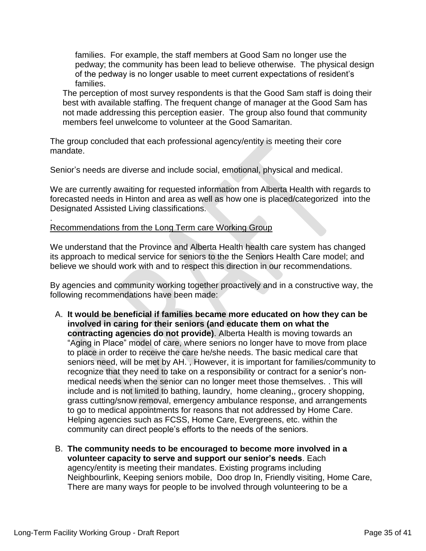families. For example, the staff members at Good Sam no longer use the pedway; the community has been lead to believe otherwise. The physical design of the pedway is no longer usable to meet current expectations of resident's families.

The perception of most survey respondents is that the Good Sam staff is doing their best with available staffing. The frequent change of manager at the Good Sam has not made addressing this perception easier. The group also found that community members feel unwelcome to volunteer at the Good Samaritan.

The group concluded that each professional agency/entity is meeting their core mandate.

Senior's needs are diverse and include social, emotional, physical and medical.

We are currently awaiting for requested information from Alberta Health with regards to forecasted needs in Hinton and area as well as how one is placed/categorized into the Designated Assisted Living classifications.

### Recommendations from the Long Term care Working Group

We understand that the Province and Alberta Health health care system has changed its approach to medical service for seniors to the the Seniors Health Care model; and believe we should work with and to respect this direction in our recommendations.

By agencies and community working together proactively and in a constructive way, the following recommendations have been made:

- A. **It would be beneficial if families became more educated on how they can be involved in caring for their seniors (and educate them on what the contracting agencies do not provide)**. Alberta Health is moving towards an "Aging in Place" model of care, where seniors no longer have to move from place to place in order to receive the care he/she needs. The basic medical care that seniors need, will be met by AH. , However, it is important for families/community to recognize that they need to take on a responsibility or contract for a senior's nonmedical needs when the senior can no longer meet those themselves. . This will include and is not limited to bathing, laundry, home cleaning,, grocery shopping, grass cutting/snow removal, emergency ambulance response, and arrangements to go to medical appointments for reasons that not addressed by Home Care. Helping agencies such as FCSS, Home Care, Evergreens, etc. within the community can direct people's efforts to the needs of the seniors.
- B. **The community needs to be encouraged to become more involved in a volunteer capacity to serve and support our senior's needs**. Each agency/entity is meeting their mandates. Existing programs including Neighbourlink, Keeping seniors mobile, Doo drop In, Friendly visiting, Home Care, There are many ways for people to be involved through volunteering to be a

.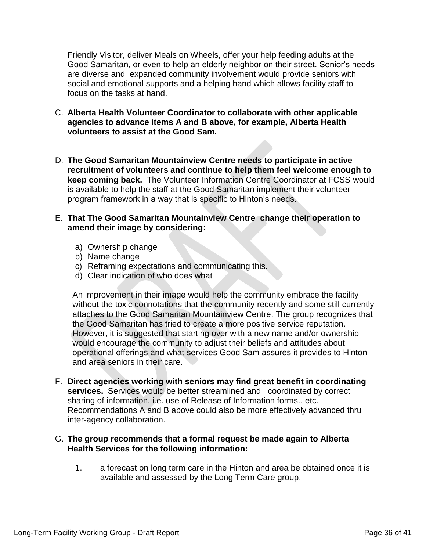Friendly Visitor, deliver Meals on Wheels, offer your help feeding adults at the Good Samaritan, or even to help an elderly neighbor on their street. Senior's needs are diverse and expanded community involvement would provide seniors with social and emotional supports and a helping hand which allows facility staff to focus on the tasks at hand.

- C. **Alberta Health Volunteer Coordinator to collaborate with other applicable agencies to advance items A and B above, for example, Alberta Health volunteers to assist at the Good Sam.**
- D. **The Good Samaritan Mountainview Centre needs to participate in active recruitment of volunteers and continue to help them feel welcome enough to keep coming back.** The Volunteer Information Centre Coordinator at FCSS would is available to help the staff at the Good Samaritan implement their volunteer program framework in a way that is specific to Hinton's needs.
- E. **That The Good Samaritan Mountainview Centre change their operation to amend their image by considering:**
	- a) Ownership change
	- b) Name change
	- c) Reframing expectations and communicating this.
	- d) Clear indication of who does what

An improvement in their image would help the community embrace the facility without the toxic connotations that the community recently and some still currently attaches to the Good Samaritan Mountainview Centre. The group recognizes that the Good Samaritan has tried to create a more positive service reputation. However, it is suggested that starting over with a new name and/or ownership would encourage the community to adjust their beliefs and attitudes about operational offerings and what services Good Sam assures it provides to Hinton and area seniors in their care.

F. **Direct agencies working with seniors may find great benefit in coordinating services.** Services would be better streamlined and coordinated by correct sharing of information, i.e. use of Release of Information forms., etc. Recommendations A and B above could also be more effectively advanced thru inter-agency collaboration.

# G. **The group recommends that a formal request be made again to Alberta Health Services for the following information:**

1. a forecast on long term care in the Hinton and area be obtained once it is available and assessed by the Long Term Care group.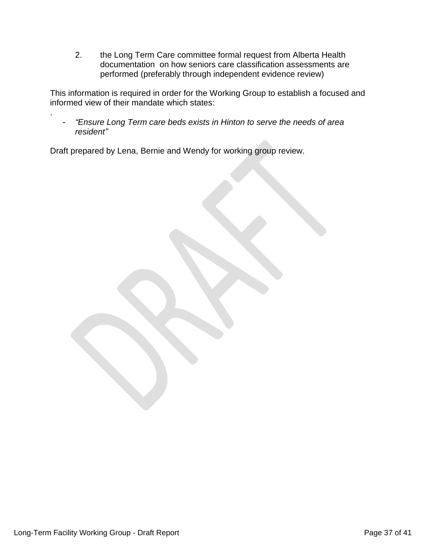2. the Long Term Care committee formal request from Alberta Health documentation on how seniors care classification assessments are performed (preferably through independent evidence review)

This information is required in order for the Working Group to establish a focused and informed view of their mandate which states:

- *"Ensure Long Term care beds exists in Hinton to serve the needs of area resident"*

Draft prepared by Lena, Bernie and Wendy for working group review.

.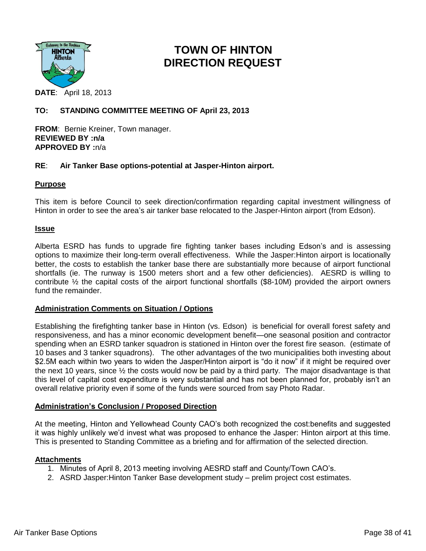

# **TOWN OF HINTON DIRECTION REQUEST**

**DATE**: April 18, 2013

### **TO: STANDING COMMITTEE MEETING OF April 23, 2013**

**FROM**: Bernie Kreiner, Town manager. **REVIEWED BY :n/a APPROVED BY :**n/a

### **RE**: **Air Tanker Base options-potential at Jasper-Hinton airport.**

#### **Purpose**

This item is before Council to seek direction/confirmation regarding capital investment willingness of Hinton in order to see the area's air tanker base relocated to the Jasper-Hinton airport (from Edson).

#### **Issue**

Alberta ESRD has funds to upgrade fire fighting tanker bases including Edson's and is assessing options to maximize their long-term overall effectiveness. While the Jasper:Hinton airport is locationally better, the costs to establish the tanker base there are substantially more because of airport functional shortfalls (ie. The runway is 1500 meters short and a few other deficiencies). AESRD is willing to contribute ½ the capital costs of the airport functional shortfalls (\$8-10M) provided the airport owners fund the remainder.

### **Administration Comments on Situation / Options**

Establishing the firefighting tanker base in Hinton (vs. Edson) is beneficial for overall forest safety and responsiveness, and has a minor economic development benefit—one seasonal position and contractor spending when an ESRD tanker squadron is stationed in Hinton over the forest fire season. (estimate of 10 bases and 3 tanker squadrons). The other advantages of the two municipalities both investing about \$2.5M each within two years to widen the Jasper/Hinton airport is "do it now" if it might be required over the next 10 years, since  $\frac{1}{2}$  the costs would now be paid by a third party. The major disadvantage is that this level of capital cost expenditure is very substantial and has not been planned for, probably isn't an overall relative priority even if some of the funds were sourced from say Photo Radar.

#### **Administration's Conclusion / Proposed Direction**

At the meeting, Hinton and Yellowhead County CAO's both recognized the cost:benefits and suggested it was highly unlikely we'd invest what was proposed to enhance the Jasper: Hinton airport at this time. This is presented to Standing Committee as a briefing and for affirmation of the selected direction.

### **Attachments**

- 1. Minutes of April 8, 2013 meeting involving AESRD staff and County/Town CAO's.
- 2. ASRD Jasper:Hinton Tanker Base development study prelim project cost estimates.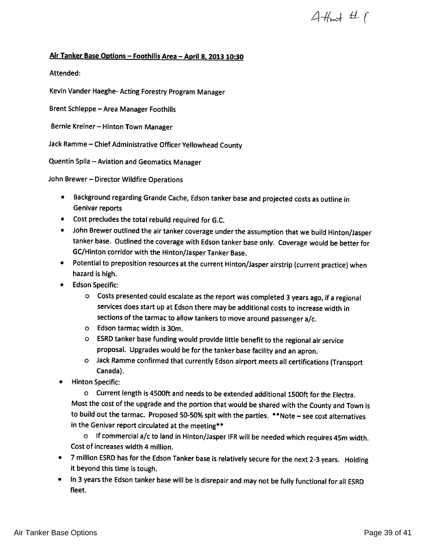$4+4+1$ 

# Air Tanker Base Options — Foothills Area — April 8, <sup>2013</sup> 10:30

Attended:

Kevin Vander Haeghe- Acting Forestry Program Manager

Brent Schleppe — Area Manager Foothills

Bernie Kreiner — Hinton Town Manager

Jack Ramme — Chief Administrative Officer Yellowhead County

Quentin Spila — Aviation and Geomatics Manager

John Brewer — Director Wildfire Operations

- • Background regarding Grande Cache, Edson tanker base and projected costs as outline in Genivar reports
- Cost precludes the total rebuild required for G.C.
- John Brewer outlined the air tanker coverage under the assumption that we build Hinton/Jasper tanker base. Outlined the coverage with Edson tanker base only. Coverage would be better for GC/Hinton corridor with the Hinton/Jasper Tanker Base.
- Potential to preposition resources at the current Hinton/Jasper airstrip (current practice) when hazard is high.
- Edson Specific:
	- <sup>o</sup> Costs presented could escalate as the report was completed <sup>3</sup> years ago, if <sup>a</sup> regional services does start up at Edson there may be additional costs to increase width in sections of the tarmac to allow tankers to move around passenger a/c.
	- <sup>o</sup> Edson tarmac width is 3Cm.
	- <sup>o</sup> ESRD tanker base funding would provide little benefit to the regional air service proposal. Upgrades would be for the tanker base facility and an apron.
	- <sup>o</sup> Jack Ramme confirmed that currently Edson airport meets all certifications (Transport Canada).
- Hinton Specific:

<sup>o</sup> Current length is 4500ft and needs to be extended additional 1500ft for the Electra. Most the cost of the upgrade and the portion that would be shared with the County and Town is to build out the tarmac. Proposed 50-50% spit with the parties. \*\*Note — see cost alternatives in the Genivar report circulated at the meeting\*\*

<sup>o</sup> If commercial a/c to land in Hinton/Jasper IFR will be needed which requires 45m width. Cost of increases width 4 million.

- <sup>7</sup> million ESRD has for the Edson Tanker base is relatively secure for the next 2-3 years. Holding it beyond this time is tough.
- In <sup>3</sup> years the Edson tanker base will be is disrepair and may not be fully functional for all ESRD fleet.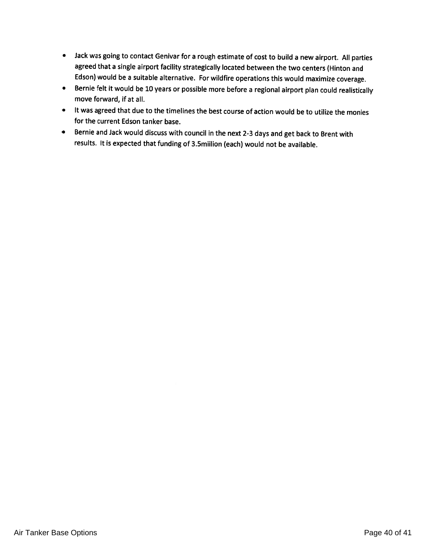- Jack was going to contact Genivar for <sup>a</sup> roug<sup>h</sup> estimate of cost to build <sup>a</sup> new airport. All parties agreed that <sup>a</sup> single airport facility strategically located between the two centers (Hinton and Edson) would be <sup>a</sup> suitable alternative. For wildfire operations this would maximize coverage.
- Bernie felt it would be <sup>10</sup> years or possible more before <sup>a</sup> regional airport <sup>p</sup>lan could realistically move forward, if at all.
- It was agreed that due to the timelines the best course of action would be to utilize the monies for the current Edson tanker base.
- Bernie and Jack would discuss with council in the next 2-3 days and get back to Brent with results. It is expected that funding of 3.5miilion (each) would not be available.